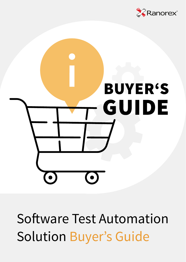



Software Test Automation Solution Buyer's Guide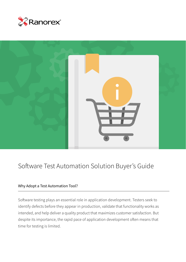



# Software Test Automation Solution Buyer's Guide

#### Why Adopt a Test Automation Tool?

Software testing plays an essential role in application development. Testers seek to identify defects before they appear in production, validate that functionality works as intended, and help deliver a quality product that maximizes customer satisfaction. But despite its importance, the rapid pace of application development often means that time for testing is limited.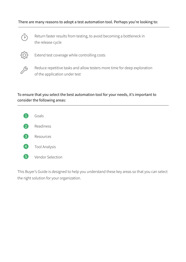#### There are many reasons to adopt a test automation tool. Perhaps you're looking to:



Return faster results from testing, to avoid becoming a bottleneck in the release cycle



Extend test coverage while controlling costs



Reduce repetitive tasks and allow testers more time for deep exploration of the application under test

#### To ensure that you select the best automation tool for your needs, it's important to consider the following areas:



This Buyer's Guide is designed to help you understand these key areas so that you can select the right solution for your organization.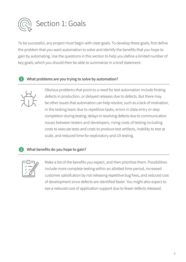

To be successful, any project must begin with clear goals. To develop these goals, first define the problem that you want automation to solve and identify the benefits that you hope to gain by automating. Use the questions in this section to help you define a limited number of key goals, which you should then be able to summarize in a brief statement.

#### What problems are you trying to solve by automation?



Obvious problems that point to a need for test automation include finding defects in production, or delayed releases due to defects. But there may be other issues that automation can help resolve, such as a lack of motivation, in the testing team due to repetitive tasks, errors in data entry or step completion during testing, delays in resolving defects due to communication issues between testers and developers, rising costs of testing including costs to execute tests and costs to produce test artifacts, inability to test at scale, and reduced time for exploratory and UX testing.

#### What benefits do you hope to gain?



Make a list of the benefits you expect, and then prioritize them. Possibilities include more complete testing within an allotted time period, increased customer satisifcation by not releasing repetitive bug fixes, and reduced cost of development since defects are identified faster. You might also expect to see a reduced cost of application support due to fewer defects released.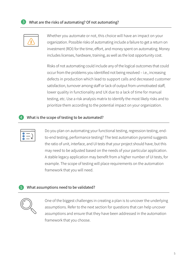



Whether you automate or not, this choice will have an impact on your organization. Possible risks of automating include a failure to get a return on investment (ROI) for the time, effort, and money spent on automating. Money includes licenses, hardware, training, as well as the lost opportunity cost.

Risks of not automating could include any of the logical outcomes that could occur from the problems you identified not being resolved – i.e., increasing defects in production which lead to support calls and decreased customer satisfaction, turnover among staff or lack of output from unmotivated staff, lower quality in functionality and UX due to a lack of time for manual testing, etc. Use a risk analysis matrix to identify the most likely risks and to prioritize them according to the potential impact on your organization.

#### What is the scope of testing to be automated?



Do you plan on automating your functional testing, regression testing, endto-end testing, performance testing? The test automation pyramid suggests the ratio of unit, interface, and UI tests that your project should have, but this may need to be adjusted based on the needs of your particular application. A stable legacy application may benefit from a higher number of UI tests, for example. The scope of testing will place requirements on the automation framework that you will need.

#### What assumptions need to be validated?



One of the biggest challenges in creating a plan is to uncover the underlying assumptions. Refer to the next section for questions that can help uncover assumptions and ensure that they have been addressed in the automation framework that you choose.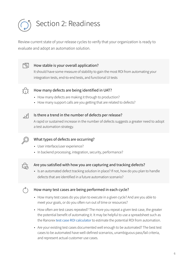

Review current state of your release cycles to verify that your organization is ready to evaluate and adopt an automation solution.



#### How stable is your overall application?

It should have some measure of stability to gain the most ROI from automating your integration tests, end-to-end tests, and functional UI tests



#### How many defects are being identified in UAT?

- How many defects are making it through to production?
- How many support calls are you getting that are related to defects?



#### Is there a trend in the number of defects per release?

A rapid or sustained increase in the number of defects suggests a greater need to adopt a test automation strategy.



#### What types of defects are occurring?

- User interface/user experience?
- In backend processing, integration, security, performance?



#### Are you satisfied with how you are capturing and tracking defects?

• Is an automated defect tracking solution in place? If not, how do you plan to handle defects that are identified in a future automation scenario?



#### How many test cases are being performed in each cycle?

- How many test cases do you plan to execute in a given cycle? And are you able to meet your goals, or do you often run out of time or resources?
- How often are test cases repeated? The more you repeat a given test case, the greater the potential benefit of automating it. It may be helpful to use a spreadsheet such as the Ranorex test case ROI calculator to estimate the potential ROI from automation.
- Are your existing test cases documented well enough to be automated? The best test cases to be automated have well-defined scenarios, unambiguous pass/fail criteria, and represent actual customer use cases.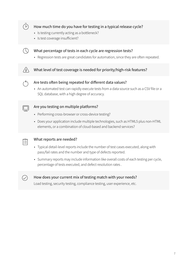

#### How much time do you have for testing in a typical release cycle?

- Is testing currently acting as a bottleneck?
- Is test coverage insufficient?



#### What percentage of tests in each cycle are regression tests?

• Regression tests are great candidates for automation, since they are often repeated.

#### What level of test coverage is needed for priority/high-risk features?



#### Are tests often being repeated for different data values?

• An automated test can rapidly execute tests from a data source such as a CSV file or a SQL database, with a high degree of accuracy.



#### Are you testing on multiple platforms?

- Performing cross-browser or cross-device testing?
- Does your application include multiple technologies, such as HTML5 plus non-HTML elements, or a combination of cloud-based and backend services?



#### What reports are needed?

- Typical detail-level reports include the number of test cases executed, along with pass/fail rates and the number and type of defects reported.
- Summary reports may include information like overall costs of each testing per cycle, percentage of tests executed, and defect resolution rates .



### How does your current mix of testing match with your needs?

Load testing, security testing, compliance testing, user experience, etc.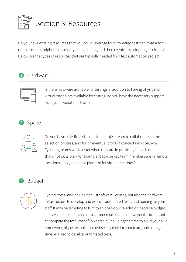

Do you have existing resources that you could leverage for automated testing? What additional resources might be necessary for evaluating and then eventually adopting a solution? Below are the types of resources that are typically needed for a test automation project:

### **1** Hardware



Is there hardware available for testing? In addition to having physical or virtual endpoints available for testing, do you have the necessary support from your operations team?

# Space



Do you have a dedicated space for a project team to collaborate on the selection process, and for an eventual proof of concept (links below)? Typically, teams work better when they are in proximity to each other. If that's not possible – for example, because key team members are in remote locations – do you have a platform for virtual meetings?

## Budget



Typical costs may include not just software licenses, but also the hardware infrastructure to develop and execute automated tests, and training for your staff. It may be tempting to turn to an open-source solution because budget isn't available for purchasing a commercial solution; however it is important to compare the total cost of "ownership" including the time to build your own framework, higher technical expertise required for your team, and a longer time required to develop automated tests.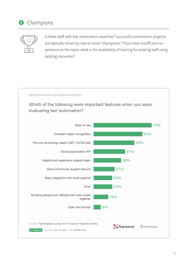



Is there staff with test automation expertise? Successful automation projects are typically driven by one or more "champions." If you have insufficient experience on the team, what is the availability of training for existing staff using existing resources?



Which of the following were important features when you were evaluating test automation?

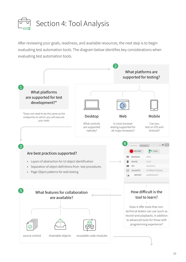

After reviewing your goals, readiness, and available resources, the next step is to begin evaluating test automation tools. The diagram below identifies key considerations when evaluating test automation tools.

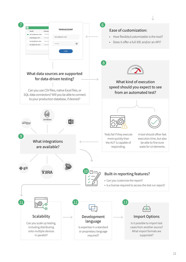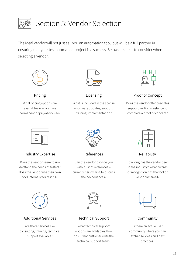

# Section 5: Vendor Selection

The ideal vendor will not just sell you an automation tool, but will be a full partner in ensuring that your test auomation project is a success. Below are areas to consider when selecting a vendor.



What pricing options are available? Are licenses permanent or pay-as-you-go?



Pricing Licensing

What is included in the license – software updates, support, training, implementation?



Proof of Concept

Does the vendor offer pre-sales support and/or assistance to complete a proof of concept?



Industry Expertise References

Does the vendor seem to understand the needs of testers? Does the vendor use their own tool internally for testing?



Can the vendor provide you with a list of references – current users willing to discuss their experiences?



Reliability

How long has the vendor been in the industry? What awards or recognition has the tool or vendor received?



Additional Services Technical Support

Are there services like consulting, training, technical support available?



What technical support options are available? How do current customers rate the technical support team?



#### Community

Is there an active user community where you can exchange ideas and best practices?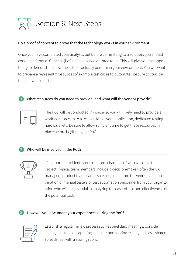

#### Do a proof of concept to prove that the technology works in your environment.

Once you have completed your analysis, but before committing to a solution, you should conduct a Proof of Concept (PoC) involving two or three tools. This will give you the opportunity to demonstrate how these tools actually perform in your environment. You will want to prepare a representative subset of example test cases to automate. Be sure to consider the following questions:

#### What resources do you need to provide, and what will the vendor provide?

The PoC will be conducted in-house, so you will likely need to provide a workspace, access to a test version of your application, dedicated testing hardware, etc. Be sure to allow sufficient time to get these resources in place before beginning the PoC.

#### Who will be involved in the PoC?



It's important to identify one or more "champions" who will drive the project. Typical team members include a decision-maker (often the QA manager), product team leader, sales engineer from the vendor, and a combination of manual testers or test automation personnel from your organization who will be essential in analyzing the ease-of-use and effectiveness of the potential tool.

#### How will you document your experiences during the PoC?



Establish a regular review process such as brief daily meetings. Consider setting up a tool for capturing feedback and sharing results, such as a shared spreadsheet with a scoring rubric.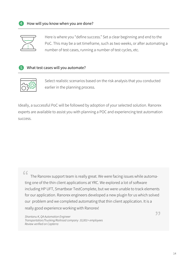

Here is where you "define success." Set a clear beginning and end to the PoC. This may be a set timeframe, such as two weeks, or after automating a number of test cases, running a number of test cycles, etc.

#### What test cases will you automate?



Select realistic scenarios based on the risk analysis that you conducted earlier in the planning process.

Ideally, a successful PoC will be followed by adoption of your selected solution. Ranorex experts are available to assist you with planning a POC and experiencing test automation success.

 $66$ 

The Ranorex support team is really great. We were facing issues while automating one of the thin client applications at YRC. We explored a lot of software including HP UFT, Smartbear TestComplete, but we were unable to track elements for our application. Ranorex engineers developed a new plugin for us which solved our problem and we completed automating that thin client application. It is a really good experience working with Ranorex!

*Shantanu K, QA Automation Engineer Transportation/Trucking/Railroad company 10,001+ employees Review verified on Capterra*